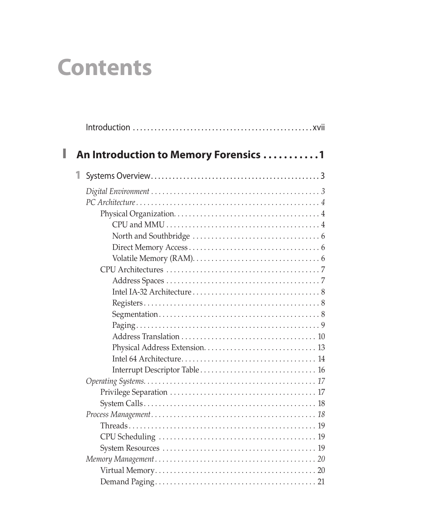# **Contents**

<span id="page-0-0"></span>

| I | An Introduction to Memory Forensics 1 |  |
|---|---------------------------------------|--|
|   | 1                                     |  |
|   |                                       |  |
|   |                                       |  |
|   |                                       |  |
|   |                                       |  |
|   |                                       |  |
|   |                                       |  |
|   |                                       |  |
|   |                                       |  |
|   |                                       |  |
|   |                                       |  |
|   |                                       |  |
|   |                                       |  |
|   |                                       |  |
|   |                                       |  |
|   |                                       |  |
|   |                                       |  |
|   |                                       |  |
|   |                                       |  |
|   |                                       |  |
|   |                                       |  |
|   |                                       |  |
|   |                                       |  |
|   |                                       |  |
|   |                                       |  |
|   |                                       |  |
|   |                                       |  |
|   |                                       |  |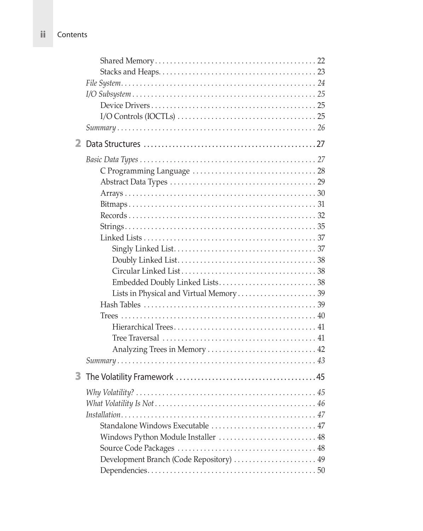<span id="page-1-0"></span>ii Contents

| $\overline{2}$ |                                          |
|----------------|------------------------------------------|
|                |                                          |
|                |                                          |
|                |                                          |
|                |                                          |
|                |                                          |
|                |                                          |
|                |                                          |
|                |                                          |
|                |                                          |
|                |                                          |
|                |                                          |
|                |                                          |
|                |                                          |
|                |                                          |
|                |                                          |
|                |                                          |
|                |                                          |
|                |                                          |
|                |                                          |
| 3              |                                          |
|                |                                          |
|                |                                          |
|                |                                          |
|                | Standalone Windows Executable  47        |
|                | Windows Python Module Installer  48      |
|                |                                          |
|                | Development Branch (Code Repository)  49 |
|                |                                          |
|                |                                          |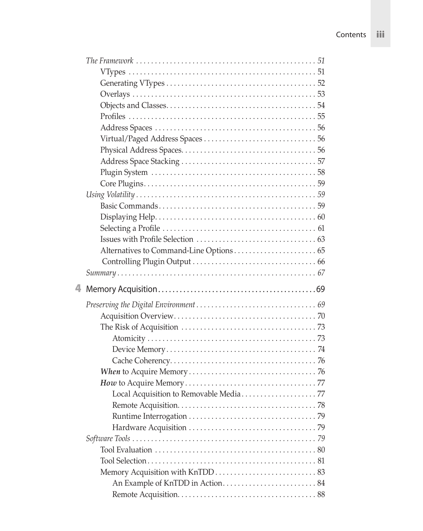<span id="page-2-0"></span>

| 4 |  |
|---|--|
|   |  |
|   |  |
|   |  |
|   |  |
|   |  |
|   |  |
|   |  |
|   |  |
|   |  |
|   |  |
|   |  |
|   |  |
|   |  |
|   |  |
|   |  |
|   |  |
|   |  |
|   |  |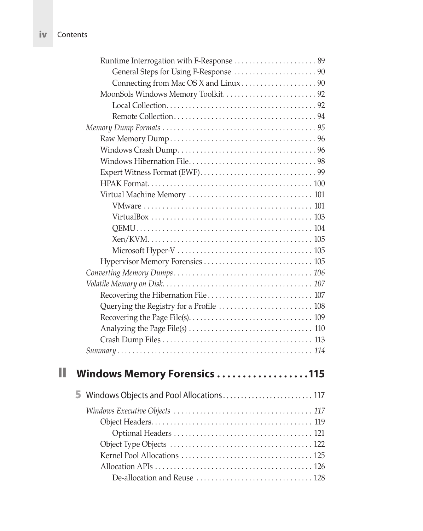<span id="page-3-0"></span>

| <b>iv</b> Contents |
|--------------------|
|--------------------|

| Windows Memory Forensics 115 |  |
|------------------------------|--|
|                              |  |

| 5 Windows Objects and Pool Allocations 117 |  |
|--------------------------------------------|--|
|                                            |  |
|                                            |  |
|                                            |  |
|                                            |  |
|                                            |  |
|                                            |  |
|                                            |  |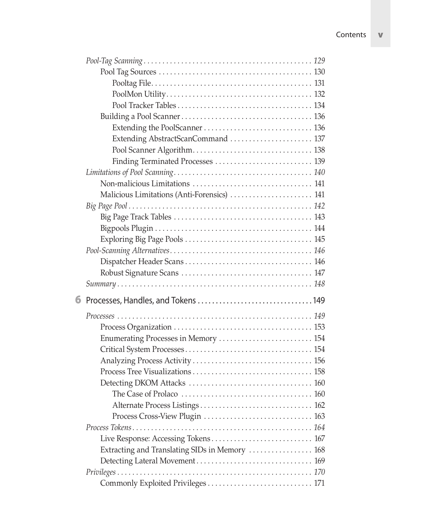<span id="page-4-0"></span>

|   | Extending AbstractScanCommand  137             |
|---|------------------------------------------------|
|   |                                                |
|   | Finding Terminated Processes  139              |
|   |                                                |
|   |                                                |
|   | Malicious Limitations (Anti-Forensics)  141    |
|   |                                                |
|   |                                                |
|   |                                                |
|   |                                                |
|   |                                                |
|   |                                                |
|   |                                                |
|   |                                                |
|   |                                                |
| 6 |                                                |
|   |                                                |
|   |                                                |
|   |                                                |
|   | Enumerating Processes in Memory  154           |
|   |                                                |
|   |                                                |
|   |                                                |
|   |                                                |
|   |                                                |
|   |                                                |
|   | Process Cross-View Plugin  163                 |
|   | Live Response: Accessing Tokens 167            |
|   | Extracting and Translating SIDs in Memory  168 |
|   |                                                |
|   |                                                |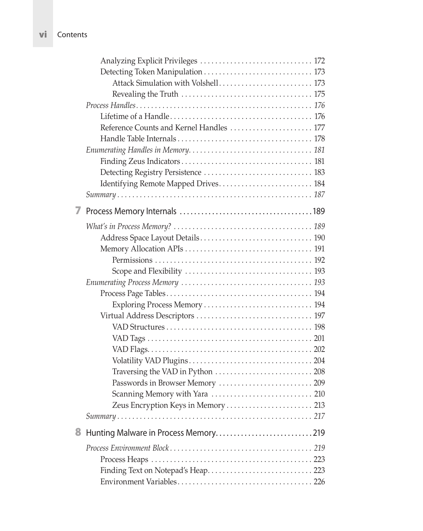<span id="page-5-0"></span>vi Contents

|   | Analyzing Explicit Privileges  172       |
|---|------------------------------------------|
|   | Detecting Token Manipulation  173        |
|   | Attack Simulation with Volshell 173      |
|   |                                          |
|   |                                          |
|   |                                          |
|   | Reference Counts and Kernel Handles  177 |
|   |                                          |
|   |                                          |
|   |                                          |
|   |                                          |
|   | Identifying Remote Mapped Drives 184     |
|   |                                          |
|   |                                          |
|   |                                          |
|   |                                          |
|   |                                          |
|   |                                          |
|   |                                          |
|   |                                          |
|   |                                          |
|   | Exploring Process Memory  194            |
|   |                                          |
|   |                                          |
|   |                                          |
|   |                                          |
|   |                                          |
|   |                                          |
|   |                                          |
|   |                                          |
|   | Zeus Encryption Keys in Memory  213      |
|   |                                          |
| 8 |                                          |
|   |                                          |
|   |                                          |
|   |                                          |
|   |                                          |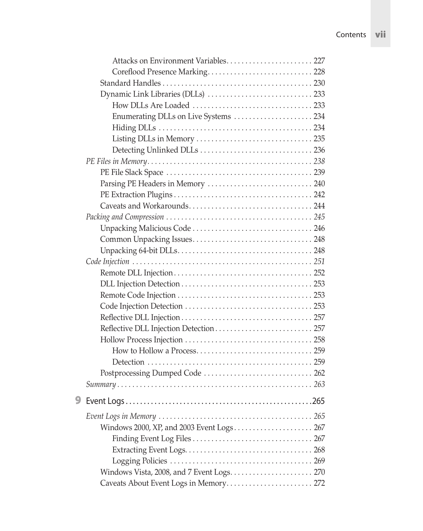<span id="page-6-0"></span>

|   | Attacks on Environment Variables 227      |  |
|---|-------------------------------------------|--|
|   |                                           |  |
|   |                                           |  |
|   |                                           |  |
|   |                                           |  |
|   | Enumerating DLLs on Live Systems  234     |  |
|   |                                           |  |
|   |                                           |  |
|   |                                           |  |
|   |                                           |  |
|   |                                           |  |
|   |                                           |  |
|   |                                           |  |
|   |                                           |  |
|   |                                           |  |
|   |                                           |  |
|   |                                           |  |
|   |                                           |  |
|   |                                           |  |
|   |                                           |  |
|   |                                           |  |
|   |                                           |  |
|   |                                           |  |
|   |                                           |  |
|   |                                           |  |
|   |                                           |  |
|   |                                           |  |
|   |                                           |  |
|   | Postprocessing Dumped Code  262           |  |
|   |                                           |  |
| 9 |                                           |  |
|   |                                           |  |
|   | Windows 2000, XP, and 2003 Event Logs 267 |  |
|   |                                           |  |
|   |                                           |  |
|   |                                           |  |
|   |                                           |  |
|   | Caveats About Event Logs in Memory 272    |  |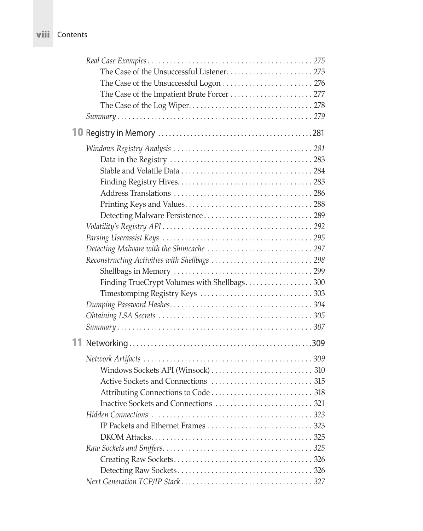<span id="page-7-0"></span>

| VIII | Contents |
|------|----------|
|------|----------|

| The Case of the Impatient Brute Forcer  277   |  |
|-----------------------------------------------|--|
|                                               |  |
|                                               |  |
|                                               |  |
|                                               |  |
|                                               |  |
|                                               |  |
|                                               |  |
|                                               |  |
|                                               |  |
|                                               |  |
|                                               |  |
|                                               |  |
|                                               |  |
| Reconstructing Activities with Shellbags  298 |  |
|                                               |  |
| Finding TrueCrypt Volumes with Shellbags300   |  |
|                                               |  |
|                                               |  |
|                                               |  |
|                                               |  |
|                                               |  |
|                                               |  |
|                                               |  |
|                                               |  |
|                                               |  |
|                                               |  |
|                                               |  |
|                                               |  |
|                                               |  |
|                                               |  |
|                                               |  |
|                                               |  |
|                                               |  |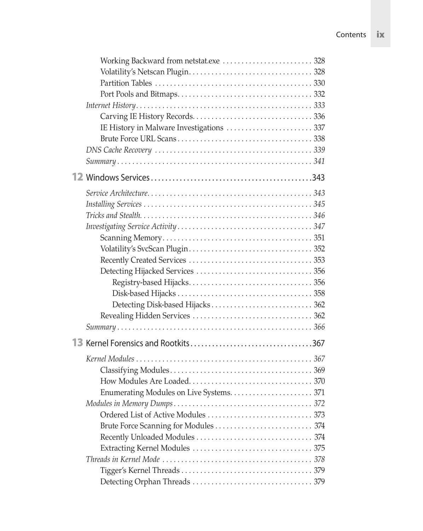<span id="page-8-0"></span>

| Ordered List of Active Modules<br>. 373 |  |
|-----------------------------------------|--|
|                                         |  |
|                                         |  |
|                                         |  |
|                                         |  |
|                                         |  |
|                                         |  |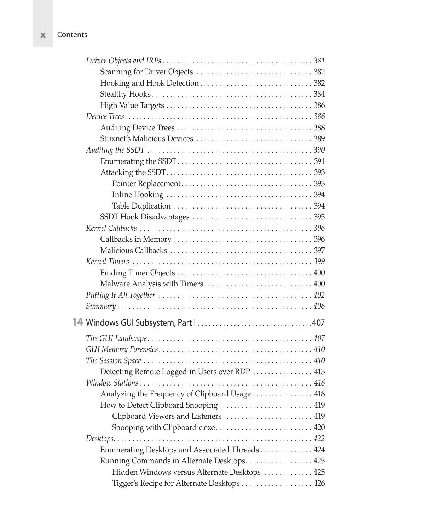<span id="page-9-0"></span>x Contents

| Malware Analysis with Timers 400                |  |
|-------------------------------------------------|--|
|                                                 |  |
|                                                 |  |
|                                                 |  |
|                                                 |  |
|                                                 |  |
|                                                 |  |
| Detecting Remote Logged-in Users over RDP  413  |  |
|                                                 |  |
| Analyzing the Frequency of Clipboard Usage  418 |  |
| How to Detect Clipboard Snooping  419           |  |
| Clipboard Viewers and Listeners  419            |  |
| Snooping with Clipboardic.exe 420               |  |
|                                                 |  |
| Enumerating Desktops and Associated Threads 424 |  |
| Running Commands in Alternate Desktops 425      |  |
| Hidden Windows versus Alternate Desktops  425   |  |
| Tigger's Recipe for Alternate Desktops  426     |  |
|                                                 |  |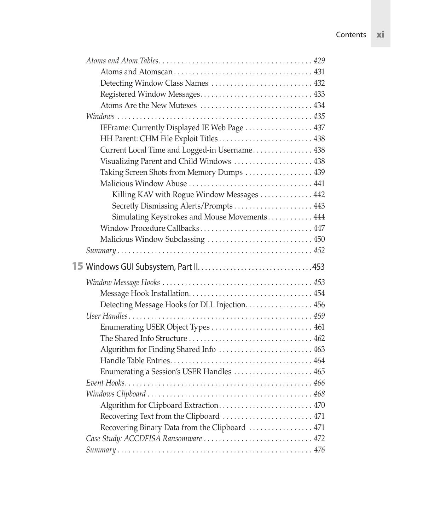<span id="page-10-0"></span>

| Detecting Window Class Names  432              |  |
|------------------------------------------------|--|
|                                                |  |
|                                                |  |
|                                                |  |
| IEFrame: Currently Displayed IE Web Page  437  |  |
|                                                |  |
| Current Local Time and Logged-in Username 438  |  |
| Visualizing Parent and Child Windows  438      |  |
| Taking Screen Shots from Memory Dumps  439     |  |
|                                                |  |
| Killing KAV with Rogue Window Messages  442    |  |
| Secretly Dismissing Alerts/Prompts 443         |  |
| Simulating Keystrokes and Mouse Movements 444  |  |
| Window Procedure Callbacks 447                 |  |
| Malicious Window Subclassing  450              |  |
|                                                |  |
|                                                |  |
|                                                |  |
|                                                |  |
|                                                |  |
| Detecting Message Hooks for DLL Injection. 456 |  |
|                                                |  |
|                                                |  |
|                                                |  |
| Algorithm for Finding Shared Info  463         |  |
|                                                |  |
| Enumerating a Session's USER Handles  465      |  |
|                                                |  |
|                                                |  |
| Algorithm for Clipboard Extraction 470         |  |
| Recovering Text from the Clipboard  471        |  |
| Recovering Binary Data from the Clipboard  471 |  |
| Case Study: ACCDFISA Ransomware  472           |  |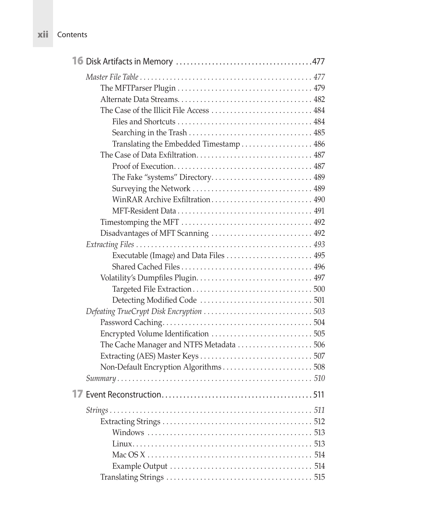<span id="page-11-0"></span>

| xii Contents |  |
|--------------|--|

| Translating the Embedded Timestamp 486   |  |
|------------------------------------------|--|
|                                          |  |
|                                          |  |
|                                          |  |
|                                          |  |
| WinRAR Archive Exfiltration 490          |  |
|                                          |  |
|                                          |  |
| Disadvantages of MFT Scanning  492       |  |
|                                          |  |
|                                          |  |
|                                          |  |
|                                          |  |
|                                          |  |
|                                          |  |
|                                          |  |
|                                          |  |
|                                          |  |
| The Cache Manager and NTFS Metadata  506 |  |
|                                          |  |
| Non-Default Encryption Algorithms 508    |  |
|                                          |  |
| 17                                       |  |
|                                          |  |
|                                          |  |
|                                          |  |
|                                          |  |
|                                          |  |
|                                          |  |
|                                          |  |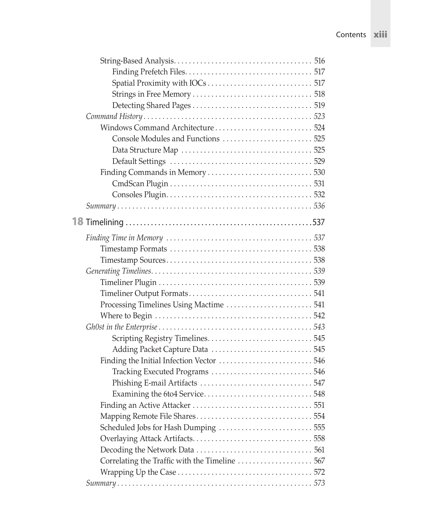<span id="page-12-0"></span>

| Processing Timelines Using Mactime  541  |  |
|------------------------------------------|--|
|                                          |  |
|                                          |  |
| Scripting Registry Timelines545          |  |
| Adding Packet Capture Data 545           |  |
| Finding the Initial Infection Vector 546 |  |
|                                          |  |
|                                          |  |
|                                          |  |
|                                          |  |
|                                          |  |
| Scheduled Jobs for Hash Dumping  555     |  |
|                                          |  |
|                                          |  |
|                                          |  |
|                                          |  |
|                                          |  |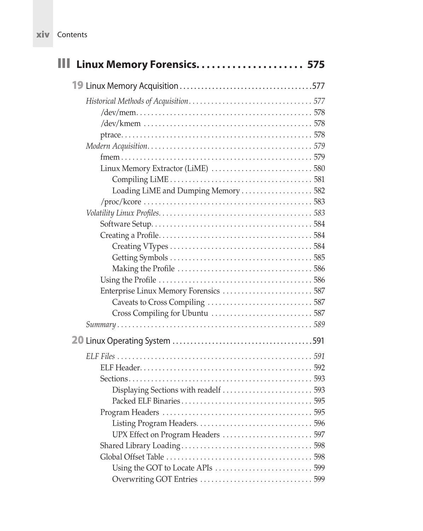<span id="page-13-0"></span>

| XIV | Contents |
|-----|----------|
|     |          |

| III Linux Memory Forensics 575       |
|--------------------------------------|
|                                      |
|                                      |
|                                      |
|                                      |
|                                      |
| Loading LiME and Dumping Memory  582 |
|                                      |
|                                      |
|                                      |
|                                      |
|                                      |
|                                      |
|                                      |
|                                      |
|                                      |
| UPX Effect on Program Headers  597   |
|                                      |
|                                      |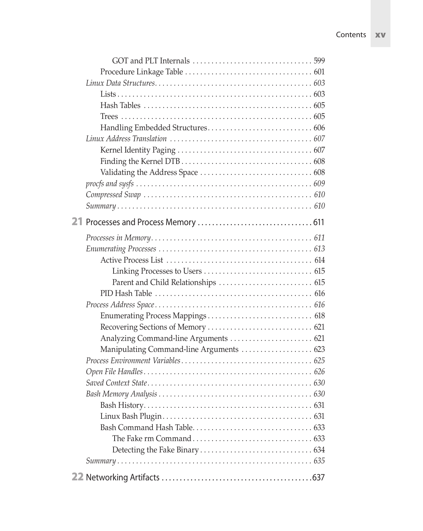<span id="page-14-0"></span>

| Analyzing Command-line Arguments  621    |  |
|------------------------------------------|--|
| Manipulating Command-line Arguments  623 |  |
|                                          |  |
|                                          |  |
|                                          |  |
|                                          |  |
|                                          |  |
|                                          |  |
|                                          |  |
|                                          |  |
|                                          |  |
|                                          |  |
|                                          |  |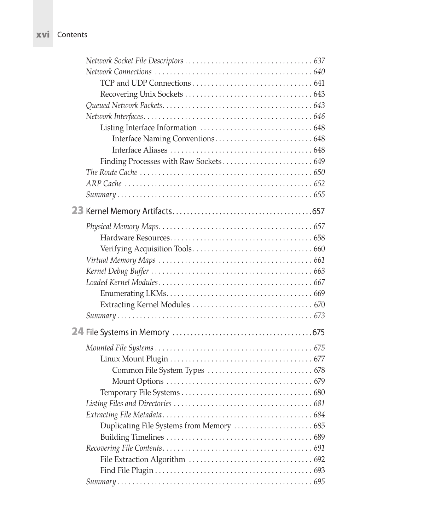<span id="page-15-0"></span>

| <b>XVI</b> Contents |
|---------------------|

| Finding Processes with Raw Sockets 649    |
|-------------------------------------------|
|                                           |
|                                           |
|                                           |
|                                           |
|                                           |
|                                           |
|                                           |
|                                           |
|                                           |
|                                           |
|                                           |
|                                           |
|                                           |
|                                           |
|                                           |
|                                           |
|                                           |
|                                           |
|                                           |
|                                           |
|                                           |
| Duplicating File Systems from Memory  685 |
|                                           |
|                                           |
|                                           |
|                                           |
|                                           |
|                                           |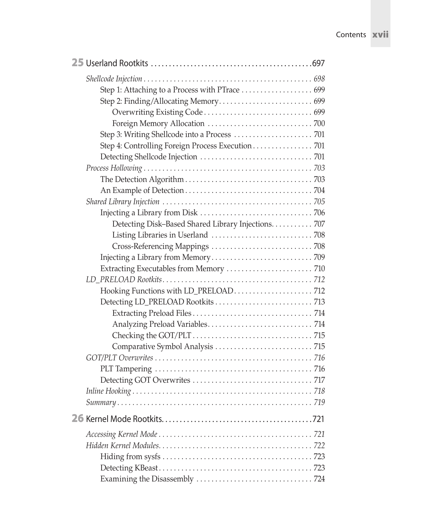<span id="page-16-0"></span>

| Step 3: Writing Shellcode into a Process  701       |  |
|-----------------------------------------------------|--|
| Step 4: Controlling Foreign Process Execution 701   |  |
|                                                     |  |
|                                                     |  |
|                                                     |  |
|                                                     |  |
|                                                     |  |
|                                                     |  |
| Detecting Disk-Based Shared Library Injections. 707 |  |
|                                                     |  |
|                                                     |  |
|                                                     |  |
| Extracting Executables from Memory  710             |  |
|                                                     |  |
|                                                     |  |
|                                                     |  |
|                                                     |  |
|                                                     |  |
|                                                     |  |
|                                                     |  |
|                                                     |  |
|                                                     |  |
|                                                     |  |
|                                                     |  |
|                                                     |  |
|                                                     |  |
|                                                     |  |
|                                                     |  |
|                                                     |  |
|                                                     |  |
|                                                     |  |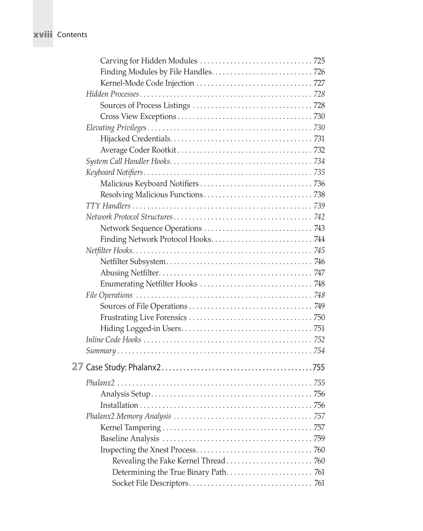## <span id="page-17-0"></span>xviii Contents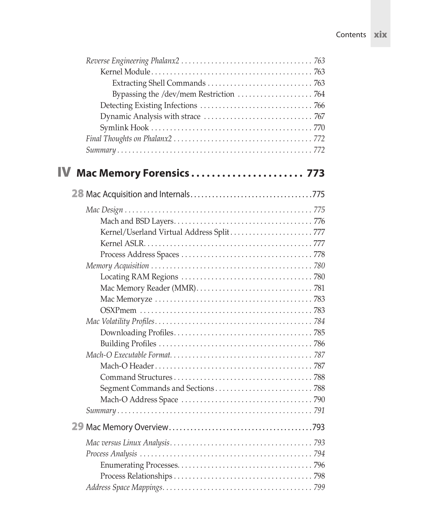<span id="page-18-0"></span>

| Kernel/Userland Virtual Address Split777 |
|------------------------------------------|
|                                          |
|                                          |
|                                          |
|                                          |
|                                          |
|                                          |
|                                          |
|                                          |
|                                          |
|                                          |
|                                          |
|                                          |
|                                          |
|                                          |
|                                          |
|                                          |
|                                          |
|                                          |
|                                          |
|                                          |
|                                          |
|                                          |
|                                          |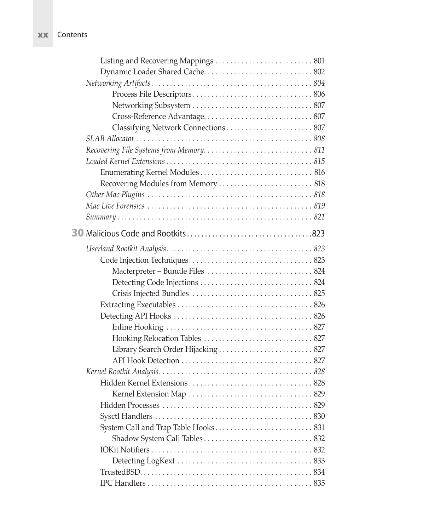| Contents |
|----------|
|          |

| Classifying Network Connections 807 |  |
|-------------------------------------|--|
|                                     |  |
|                                     |  |
|                                     |  |
|                                     |  |
| Recovering Modules from Memory  818 |  |
|                                     |  |
|                                     |  |
|                                     |  |
|                                     |  |
|                                     |  |
|                                     |  |
|                                     |  |
|                                     |  |
|                                     |  |
|                                     |  |
|                                     |  |
|                                     |  |
|                                     |  |
| Library Search Order Hijacking  827 |  |
|                                     |  |
|                                     |  |
|                                     |  |
|                                     |  |
|                                     |  |
|                                     |  |
|                                     |  |
|                                     |  |
|                                     |  |
|                                     |  |
|                                     |  |
|                                     |  |

<span id="page-19-0"></span> $\boldsymbol{x}$